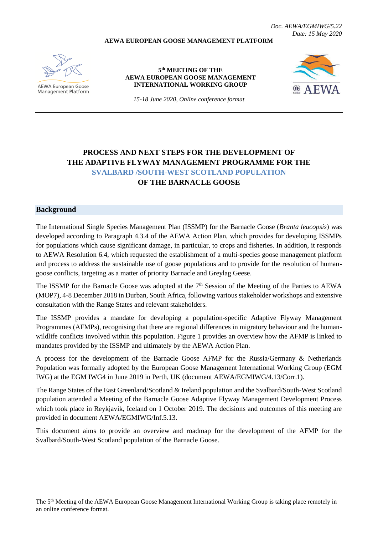*Doc. AEWA/EGMIWG/5.22 Date: 15 May 2020*

### **AEWA EUROPEAN GOOSE MANAGEMENT PLATFORM**



**AEWA European Goose Management Platform** 

### **5 th MEETING OF THE AEWA EUROPEAN GOOSE MANAGEMENT INTERNATIONAL WORKING GROUP**



*15-18 June 2020, Online conference format*

# **PROCESS AND NEXT STEPS FOR THE DEVELOPMENT OF THE ADAPTIVE FLYWAY MANAGEMENT PROGRAMME FOR THE SVALBARD /SOUTH-WEST SCOTLAND POPULATION OF THE BARNACLE GOOSE**

## **Background**

The International Single Species Management Plan (ISSMP) for the Barnacle Goose (*Branta leucopsis*) was developed according to Paragraph 4.3.4 of the AEWA Action Plan, which provides for developing ISSMPs for populations which cause significant damage, in particular, to crops and fisheries. In addition, it responds to AEWA Resolution 6.4, which requested the establishment of a multi-species goose management platform and process to address the sustainable use of goose populations and to provide for the resolution of humangoose conflicts, targeting as a matter of priority Barnacle and Greylag Geese.

The ISSMP for the Barnacle Goose was adopted at the 7<sup>th</sup> Session of the Meeting of the Parties to AEWA (MOP7), 4-8 December 2018 in Durban, South Africa, following various stakeholder workshops and extensive consultation with the Range States and relevant stakeholders.

The ISSMP provides a mandate for developing a population-specific Adaptive Flyway Management Programmes (AFMPs), recognising that there are regional differences in migratory behaviour and the humanwildlife conflicts involved within this population. Figure 1 provides an overview how the AFMP is linked to mandates provided by the ISSMP and ultimately by the AEWA Action Plan.

A process for the development of the Barnacle Goose AFMP for the Russia/Germany & Netherlands Population was formally adopted by the European Goose Management International Working Group (EGM IWG) at the EGM IWG4 in June 2019 in Perth, UK (document AEWA/EGMIWG/4.13/Corr.1).

The Range States of the East Greenland/Scotland & Ireland population and the Svalbard/South-West Scotland population attended a Meeting of the Barnacle Goose Adaptive Flyway Management Development Process which took place in Reykjavik, Iceland on 1 October 2019. The decisions and outcomes of this meeting are provided in document AEWA/EGMIWG/Inf.5.13.

This document aims to provide an overview and roadmap for the development of the AFMP for the Svalbard/South-West Scotland population of the Barnacle Goose.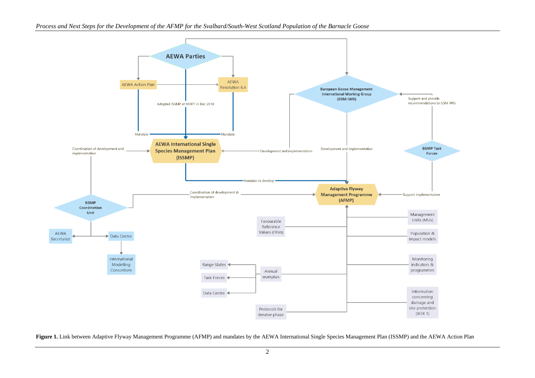

Figure 1. Link between Adaptive Flyway Management Programme (AFMP) and mandates by the AEWA International Single Species Management Plan (ISSMP) and the AEWA Action Plan